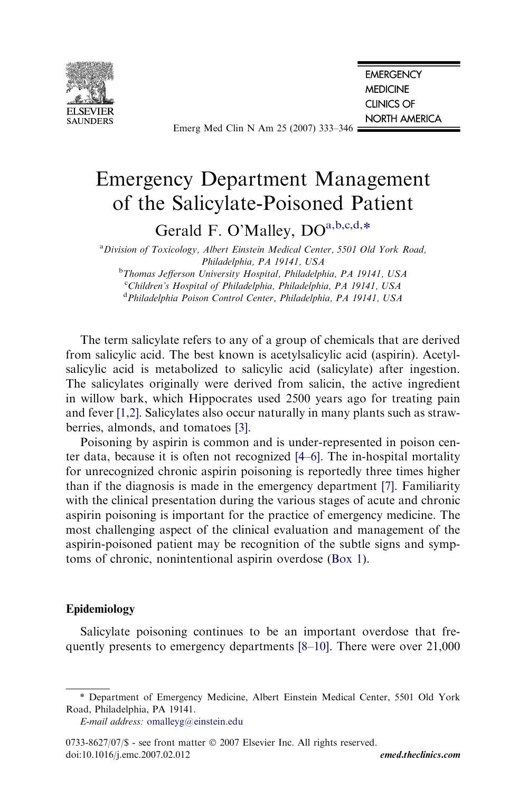

Emerg Med Clin N Am 25 (2007) 333–346

# **FMFRGFNCY MEDICINE CLINICS OF NORTH AMERICA**

# Emergency Department Management of the Salicylate-Poisoned Patient

Gerald F. O'Malley, DOa,b,c,d,\*

<sup>a</sup> Division of Toxicology, Albert Einstein Medical Center, 5501 Old York Road, Philadelphia, PA 19141, USA

<sup>b</sup>Thomas Jefferson University Hospital, Philadelphia, PA 19141, USA <sup>c</sup>Children's Hospital of Philadelphia, Philadelphia, PA 19141, USA <sup>d</sup> Philadelphia Poison Control Center, Philadelphia, PA 19141, USA

The term salicylate refers to any of a group of chemicals that are derived from salicylic acid. The best known is acetylsalicylic acid (aspirin). Acetylsalicylic acid is metabolized to salicylic acid (salicylate) after ingestion. The salicylates originally were derived from salicin, the active ingredient in willow bark, which Hippocrates used 2500 years ago for treating pain and fever [\[1,2\].](#page-10-0) Salicylates also occur naturally in many plants such as strawberries, almonds, and tomatoes [\[3\].](#page-10-0)

Poisoning by aspirin is common and is under-represented in poison center data, because it is often not recognized [\[4–6\].](#page-10-0) The in-hospital mortality for unrecognized chronic aspirin poisoning is reportedly three times higher than if the diagnosis is made in the emergency department [\[7\].](#page-10-0) Familiarity with the clinical presentation during the various stages of acute and chronic aspirin poisoning is important for the practice of emergency medicine. The most challenging aspect of the clinical evaluation and management of the aspirin-poisoned patient may be recognition of the subtle signs and symptoms of chronic, nonintentional aspirin overdose [\(Box 1\)](#page-1-0).

# Epidemiology

Salicylate poisoning continues to be an important overdose that frequently presents to emergency departments [\[8–10\]](#page-10-0). There were over 21,000

<sup>\*</sup> Department of Emergency Medicine, Albert Einstein Medical Center, 5501 Old York Road, Philadelphia, PA 19141.

E-mail address: [omalleyg@einstein.edu](mailto:omalleyg@einstein.edu)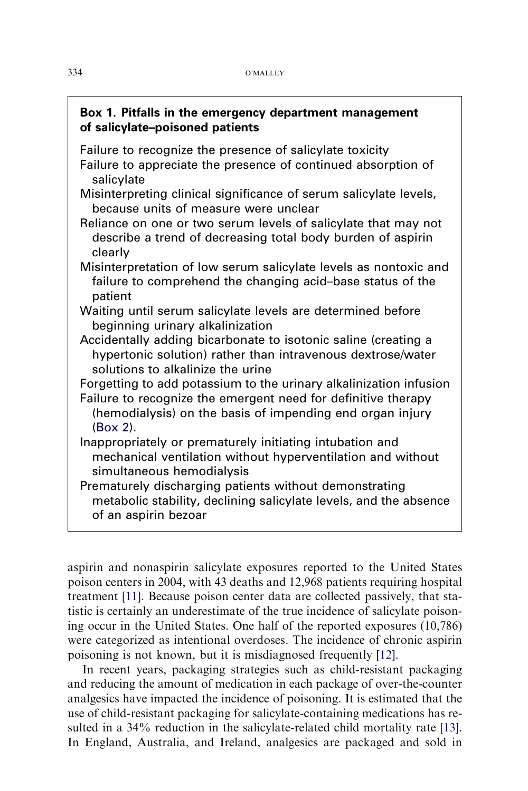# <span id="page-1-0"></span>Box 1. Pitfalls in the emergency department management of salicylate–poisoned patients

Failure to recognize the presence of salicylate toxicity

- Failure to appreciate the presence of continued absorption of salicylate
- Misinterpreting clinical significance of serum salicylate levels, because units of measure were unclear
- Reliance on one or two serum levels of salicylate that may not describe a trend of decreasing total body burden of aspirin clearly
- Misinterpretation of low serum salicylate levels as nontoxic and failure to comprehend the changing acid–base status of the patient
- Waiting until serum salicylate levels are determined before beginning urinary alkalinization
- Accidentally adding bicarbonate to isotonic saline (creating a hypertonic solution) rather than intravenous dextrose/water solutions to alkalinize the urine

Forgetting to add potassium to the urinary alkalinization infusion

Failure to recognize the emergent need for definitive therapy (hemodialysis) on the basis of impending end organ injury ([Box 2\)](#page-9-0).

- Inappropriately or prematurely initiating intubation and mechanical ventilation without hyperventilation and without simultaneous hemodialysis
- Prematurely discharging patients without demonstrating metabolic stability, declining salicylate levels, and the absence of an aspirin bezoar

aspirin and nonaspirin salicylate exposures reported to the United States poison centers in 2004, with 43 deaths and 12,968 patients requiring hospital treatment [\[11\]](#page-10-0). Because poison center data are collected passively, that statistic is certainly an underestimate of the true incidence of salicylate poisoning occur in the United States. One half of the reported exposures (10,786) were categorized as intentional overdoses. The incidence of chronic aspirin poisoning is not known, but it is misdiagnosed frequently [\[12\]](#page-10-0).

In recent years, packaging strategies such as child-resistant packaging and reducing the amount of medication in each package of over-the-counter analgesics have impacted the incidence of poisoning. It is estimated that the use of child-resistant packaging for salicylate-containing medications has resulted in a 34% reduction in the salicylate-related child mortality rate [\[13\]](#page-10-0). In England, Australia, and Ireland, analgesics are packaged and sold in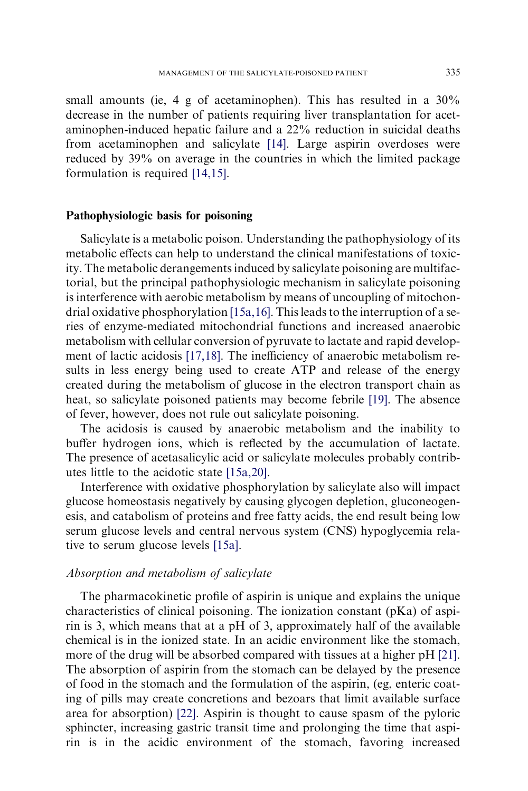small amounts (ie, 4 g of acetaminophen). This has resulted in a  $30\%$ decrease in the number of patients requiring liver transplantation for acetaminophen-induced hepatic failure and a 22% reduction in suicidal deaths from acetaminophen and salicylate [\[14\]](#page-10-0). Large aspirin overdoses were reduced by 39% on average in the countries in which the limited package formulation is required [\[14,15\]](#page-10-0).

#### Pathophysiologic basis for poisoning

Salicylate is a metabolic poison. Understanding the pathophysiology of its metabolic effects can help to understand the clinical manifestations of toxicity. The metabolic derangements induced by salicylate poisoning are multifactorial, but the principal pathophysiologic mechanism in salicylate poisoning is interference with aerobic metabolism by means of uncoupling of mitochondrial oxidative phosphorylation [\[15a,16\]](#page-10-0). This leads to the interruption of a series of enzyme-mediated mitochondrial functions and increased anaerobic metabolism with cellular conversion of pyruvate to lactate and rapid development of lactic acidosis [\[17,18\]](#page-10-0). The inefficiency of anaerobic metabolism results in less energy being used to create ATP and release of the energy created during the metabolism of glucose in the electron transport chain as heat, so salicylate poisoned patients may become febrile [\[19\]](#page-10-0). The absence of fever, however, does not rule out salicylate poisoning.

The acidosis is caused by anaerobic metabolism and the inability to buffer hydrogen ions, which is reflected by the accumulation of lactate. The presence of acetasalicylic acid or salicylate molecules probably contributes little to the acidotic state [\[15a,20\]](#page-10-0).

Interference with oxidative phosphorylation by salicylate also will impact glucose homeostasis negatively by causing glycogen depletion, gluconeogenesis, and catabolism of proteins and free fatty acids, the end result being low serum glucose levels and central nervous system (CNS) hypoglycemia relative to serum glucose levels [\[15a\]](#page-10-0).

#### Absorption and metabolism of salicylate

The pharmacokinetic profile of aspirin is unique and explains the unique characteristics of clinical poisoning. The ionization constant (pKa) of aspirin is 3, which means that at a pH of 3, approximately half of the available chemical is in the ionized state. In an acidic environment like the stomach, more of the drug will be absorbed compared with tissues at a higher pH [\[21\].](#page-11-0) The absorption of aspirin from the stomach can be delayed by the presence of food in the stomach and the formulation of the aspirin, (eg, enteric coating of pills may create concretions and bezoars that limit available surface area for absorption) [\[22\]](#page-11-0). Aspirin is thought to cause spasm of the pyloric sphincter, increasing gastric transit time and prolonging the time that aspirin is in the acidic environment of the stomach, favoring increased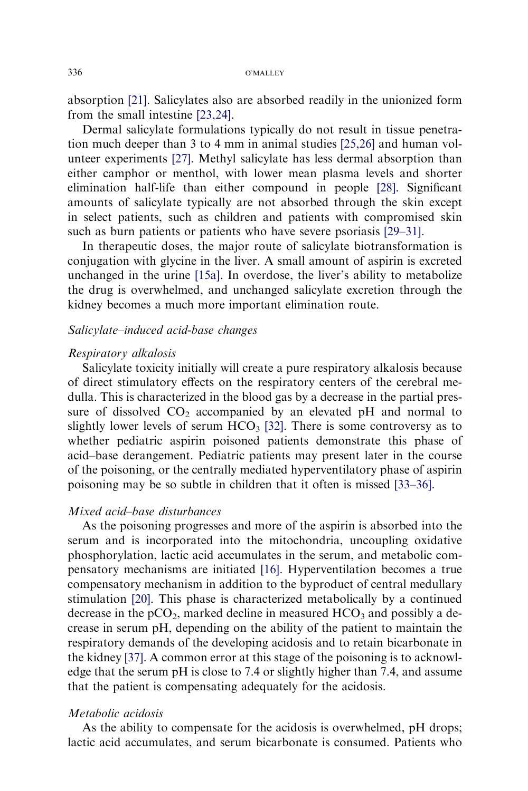absorption [\[21\]](#page-11-0). Salicylates also are absorbed readily in the unionized form from the small intestine [\[23,24\]](#page-11-0).

Dermal salicylate formulations typically do not result in tissue penetration much deeper than 3 to 4 mm in animal studies [\[25,26\]](#page-11-0) and human volunteer experiments [\[27\]](#page-11-0). Methyl salicylate has less dermal absorption than either camphor or menthol, with lower mean plasma levels and shorter elimination half-life than either compound in people [\[28\].](#page-11-0) Significant amounts of salicylate typically are not absorbed through the skin except in select patients, such as children and patients with compromised skin such as burn patients or patients who have severe psoriasis [\[29–31\].](#page-11-0)

In therapeutic doses, the major route of salicylate biotransformation is conjugation with glycine in the liver. A small amount of aspirin is excreted unchanged in the urine [\[15a\].](#page-10-0) In overdose, the liver's ability to metabolize the drug is overwhelmed, and unchanged salicylate excretion through the kidney becomes a much more important elimination route.

## Salicylate–induced acid-base changes

## Respiratory alkalosis

Salicylate toxicity initially will create a pure respiratory alkalosis because of direct stimulatory effects on the respiratory centers of the cerebral medulla. This is characterized in the blood gas by a decrease in the partial pressure of dissolved  $CO<sub>2</sub>$  accompanied by an elevated pH and normal to slightly lower levels of serum  $HCO<sub>3</sub>$  [\[32\]](#page-11-0). There is some controversy as to whether pediatric aspirin poisoned patients demonstrate this phase of acid–base derangement. Pediatric patients may present later in the course of the poisoning, or the centrally mediated hyperventilatory phase of aspirin poisoning may be so subtle in children that it often is missed [\[33–36\]](#page-11-0).

# Mixed acid–base disturbances

As the poisoning progresses and more of the aspirin is absorbed into the serum and is incorporated into the mitochondria, uncoupling oxidative phosphorylation, lactic acid accumulates in the serum, and metabolic compensatory mechanisms are initiated [\[16\].](#page-10-0) Hyperventilation becomes a true compensatory mechanism in addition to the byproduct of central medullary stimulation [\[20\]](#page-10-0). This phase is characterized metabolically by a continued decrease in the  $pCO<sub>2</sub>$ , marked decline in measured  $HCO<sub>3</sub>$  and possibly a decrease in serum pH, depending on the ability of the patient to maintain the respiratory demands of the developing acidosis and to retain bicarbonate in the kidney [\[37\]](#page-11-0). A common error at this stage of the poisoning is to acknowledge that the serum pH is close to 7.4 or slightly higher than 7.4, and assume that the patient is compensating adequately for the acidosis.

# Metabolic acidosis

As the ability to compensate for the acidosis is overwhelmed, pH drops; lactic acid accumulates, and serum bicarbonate is consumed. Patients who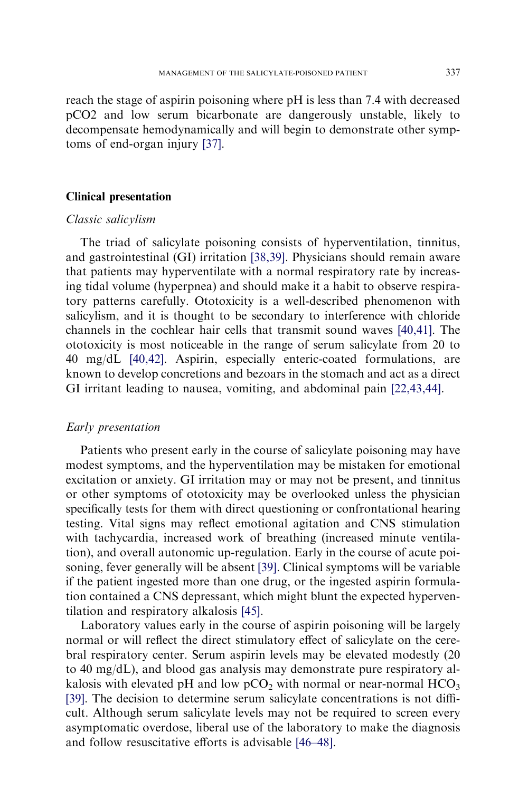reach the stage of aspirin poisoning where pH is less than 7.4 with decreased pCO2 and low serum bicarbonate are dangerously unstable, likely to decompensate hemodynamically and will begin to demonstrate other symptoms of end-organ injury [\[37\]](#page-11-0).

#### Clinical presentation

### Classic salicylism

The triad of salicylate poisoning consists of hyperventilation, tinnitus, and gastrointestinal (GI) irritation [\[38,39\]](#page-11-0). Physicians should remain aware that patients may hyperventilate with a normal respiratory rate by increasing tidal volume (hyperpnea) and should make it a habit to observe respiratory patterns carefully. Ototoxicity is a well-described phenomenon with salicylism, and it is thought to be secondary to interference with chloride channels in the cochlear hair cells that transmit sound waves [\[40,41\]](#page-11-0). The ototoxicity is most noticeable in the range of serum salicylate from 20 to 40 mg/dL [\[40,42\]](#page-11-0). Aspirin, especially enteric-coated formulations, are known to develop concretions and bezoars in the stomach and act as a direct GI irritant leading to nausea, vomiting, and abdominal pain [\[22,43,44\].](#page-11-0)

#### Early presentation

Patients who present early in the course of salicylate poisoning may have modest symptoms, and the hyperventilation may be mistaken for emotional excitation or anxiety. GI irritation may or may not be present, and tinnitus or other symptoms of ototoxicity may be overlooked unless the physician specifically tests for them with direct questioning or confrontational hearing testing. Vital signs may reflect emotional agitation and CNS stimulation with tachycardia, increased work of breathing (increased minute ventilation), and overall autonomic up-regulation. Early in the course of acute poisoning, fever generally will be absent [\[39\]](#page-11-0). Clinical symptoms will be variable if the patient ingested more than one drug, or the ingested aspirin formulation contained a CNS depressant, which might blunt the expected hyperventilation and respiratory alkalosis [\[45\].](#page-11-0)

Laboratory values early in the course of aspirin poisoning will be largely normal or will reflect the direct stimulatory effect of salicylate on the cerebral respiratory center. Serum aspirin levels may be elevated modestly (20 to 40 mg/dL), and blood gas analysis may demonstrate pure respiratory alkalosis with elevated pH and low  $pCO<sub>2</sub>$  with normal or near-normal  $HCO<sub>3</sub>$ [\[39\]](#page-11-0). The decision to determine serum salicylate concentrations is not difficult. Although serum salicylate levels may not be required to screen every asymptomatic overdose, liberal use of the laboratory to make the diagnosis and follow resuscitative efforts is advisable [\[46–48\]](#page-11-0).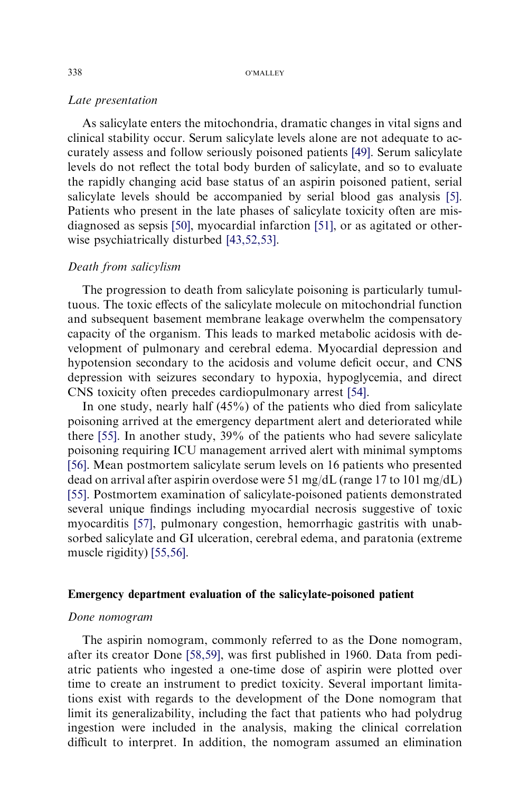#### Late presentation

As salicylate enters the mitochondria, dramatic changes in vital signs and clinical stability occur. Serum salicylate levels alone are not adequate to accurately assess and follow seriously poisoned patients [\[49\]](#page-12-0). Serum salicylate levels do not reflect the total body burden of salicylate, and so to evaluate the rapidly changing acid base status of an aspirin poisoned patient, serial salicylate levels should be accompanied by serial blood gas analysis [\[5\]](#page-10-0). Patients who present in the late phases of salicylate toxicity often are misdiagnosed as sepsis [\[50\],](#page-12-0) myocardial infarction [\[51\],](#page-12-0) or as agitated or otherwise psychiatrically disturbed [\[43,52,53\].](#page-11-0)

### Death from salicylism

The progression to death from salicylate poisoning is particularly tumultuous. The toxic effects of the salicylate molecule on mitochondrial function and subsequent basement membrane leakage overwhelm the compensatory capacity of the organism. This leads to marked metabolic acidosis with development of pulmonary and cerebral edema. Myocardial depression and hypotension secondary to the acidosis and volume deficit occur, and CNS depression with seizures secondary to hypoxia, hypoglycemia, and direct CNS toxicity often precedes cardiopulmonary arrest [\[54\].](#page-12-0)

In one study, nearly half (45%) of the patients who died from salicylate poisoning arrived at the emergency department alert and deteriorated while there [\[55\].](#page-12-0) In another study, 39% of the patients who had severe salicylate poisoning requiring ICU management arrived alert with minimal symptoms [\[56\].](#page-12-0) Mean postmortem salicylate serum levels on 16 patients who presented dead on arrival after aspirin overdose were 51 mg/dL (range 17 to 101 mg/dL) [\[55\].](#page-12-0) Postmortem examination of salicylate-poisoned patients demonstrated several unique findings including myocardial necrosis suggestive of toxic myocarditis [\[57\],](#page-12-0) pulmonary congestion, hemorrhagic gastritis with unabsorbed salicylate and GI ulceration, cerebral edema, and paratonia (extreme muscle rigidity) [\[55,56\].](#page-12-0)

### Emergency department evaluation of the salicylate-poisoned patient

#### Done nomogram

The aspirin nomogram, commonly referred to as the Done nomogram, after its creator Done [\[58,59\]](#page-12-0), was first published in 1960. Data from pediatric patients who ingested a one-time dose of aspirin were plotted over time to create an instrument to predict toxicity. Several important limitations exist with regards to the development of the Done nomogram that limit its generalizability, including the fact that patients who had polydrug ingestion were included in the analysis, making the clinical correlation difficult to interpret. In addition, the nomogram assumed an elimination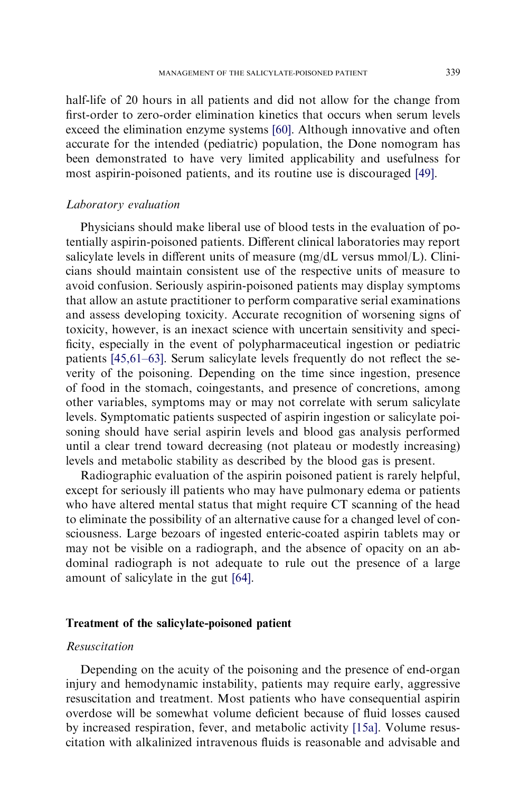half-life of 20 hours in all patients and did not allow for the change from first-order to zero-order elimination kinetics that occurs when serum levels exceed the elimination enzyme systems [\[60\]](#page-12-0). Although innovative and often accurate for the intended (pediatric) population, the Done nomogram has been demonstrated to have very limited applicability and usefulness for most aspirin-poisoned patients, and its routine use is discouraged [\[49\]](#page-12-0).

# Laboratory evaluation

Physicians should make liberal use of blood tests in the evaluation of potentially aspirin-poisoned patients. Different clinical laboratories may report salicylate levels in different units of measure  $(mg/dL)$  versus mmol/L). Clinicians should maintain consistent use of the respective units of measure to avoid confusion. Seriously aspirin-poisoned patients may display symptoms that allow an astute practitioner to perform comparative serial examinations and assess developing toxicity. Accurate recognition of worsening signs of toxicity, however, is an inexact science with uncertain sensitivity and specificity, especially in the event of polypharmaceutical ingestion or pediatric patients [\[45,61–63\].](#page-11-0) Serum salicylate levels frequently do not reflect the severity of the poisoning. Depending on the time since ingestion, presence of food in the stomach, coingestants, and presence of concretions, among other variables, symptoms may or may not correlate with serum salicylate levels. Symptomatic patients suspected of aspirin ingestion or salicylate poisoning should have serial aspirin levels and blood gas analysis performed until a clear trend toward decreasing (not plateau or modestly increasing) levels and metabolic stability as described by the blood gas is present.

Radiographic evaluation of the aspirin poisoned patient is rarely helpful, except for seriously ill patients who may have pulmonary edema or patients who have altered mental status that might require CT scanning of the head to eliminate the possibility of an alternative cause for a changed level of consciousness. Large bezoars of ingested enteric-coated aspirin tablets may or may not be visible on a radiograph, and the absence of opacity on an abdominal radiograph is not adequate to rule out the presence of a large amount of salicylate in the gut [\[64\]](#page-12-0).

# Treatment of the salicylate-poisoned patient

#### Resuscitation

Depending on the acuity of the poisoning and the presence of end-organ injury and hemodynamic instability, patients may require early, aggressive resuscitation and treatment. Most patients who have consequential aspirin overdose will be somewhat volume deficient because of fluid losses caused by increased respiration, fever, and metabolic activity [\[15a\]](#page-10-0). Volume resuscitation with alkalinized intravenous fluids is reasonable and advisable and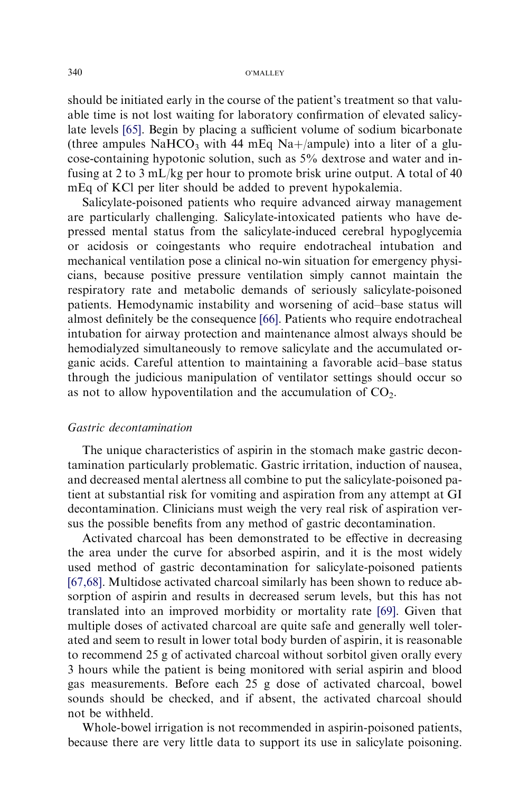#### 340 O'MALLEY

should be initiated early in the course of the patient's treatment so that valuable time is not lost waiting for laboratory confirmation of elevated salicylate levels [\[65\].](#page-12-0) Begin by placing a sufficient volume of sodium bicarbonate (three ampules  $NaHCO<sub>3</sub>$  with 44 mEq Na+/ampule) into a liter of a glucose-containing hypotonic solution, such as 5% dextrose and water and infusing at 2 to 3 mL/kg per hour to promote brisk urine output. A total of 40 mEq of KCl per liter should be added to prevent hypokalemia.

Salicylate-poisoned patients who require advanced airway management are particularly challenging. Salicylate-intoxicated patients who have depressed mental status from the salicylate-induced cerebral hypoglycemia or acidosis or coingestants who require endotracheal intubation and mechanical ventilation pose a clinical no-win situation for emergency physicians, because positive pressure ventilation simply cannot maintain the respiratory rate and metabolic demands of seriously salicylate-poisoned patients. Hemodynamic instability and worsening of acid–base status will almost definitely be the consequence [\[66\].](#page-12-0) Patients who require endotracheal intubation for airway protection and maintenance almost always should be hemodialyzed simultaneously to remove salicylate and the accumulated organic acids. Careful attention to maintaining a favorable acid–base status through the judicious manipulation of ventilator settings should occur so as not to allow hypoventilation and the accumulation of  $CO<sub>2</sub>$ .

#### Gastric decontamination

The unique characteristics of aspirin in the stomach make gastric decontamination particularly problematic. Gastric irritation, induction of nausea, and decreased mental alertness all combine to put the salicylate-poisoned patient at substantial risk for vomiting and aspiration from any attempt at GI decontamination. Clinicians must weigh the very real risk of aspiration versus the possible benefits from any method of gastric decontamination.

Activated charcoal has been demonstrated to be effective in decreasing the area under the curve for absorbed aspirin, and it is the most widely used method of gastric decontamination for salicylate-poisoned patients [\[67,68\].](#page-12-0) Multidose activated charcoal similarly has been shown to reduce absorption of aspirin and results in decreased serum levels, but this has not translated into an improved morbidity or mortality rate [\[69\].](#page-12-0) Given that multiple doses of activated charcoal are quite safe and generally well tolerated and seem to result in lower total body burden of aspirin, it is reasonable to recommend 25 g of activated charcoal without sorbitol given orally every 3 hours while the patient is being monitored with serial aspirin and blood gas measurements. Before each 25 g dose of activated charcoal, bowel sounds should be checked, and if absent, the activated charcoal should not be withheld.

Whole-bowel irrigation is not recommended in aspirin-poisoned patients, because there are very little data to support its use in salicylate poisoning.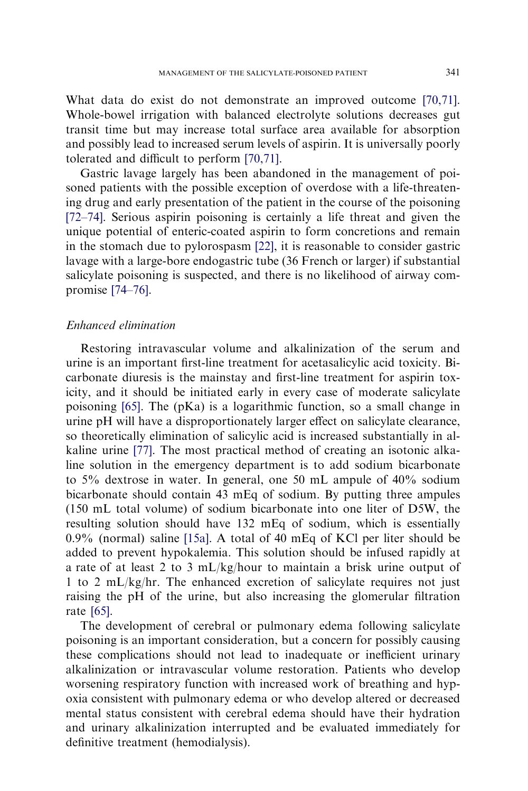What data do exist do not demonstrate an improved outcome [\[70,71\].](#page-12-0) Whole-bowel irrigation with balanced electrolyte solutions decreases gut transit time but may increase total surface area available for absorption and possibly lead to increased serum levels of aspirin. It is universally poorly tolerated and difficult to perform [\[70,71\]](#page-12-0).

Gastric lavage largely has been abandoned in the management of poisoned patients with the possible exception of overdose with a life-threatening drug and early presentation of the patient in the course of the poisoning [\[72–74\]](#page-13-0). Serious aspirin poisoning is certainly a life threat and given the unique potential of enteric-coated aspirin to form concretions and remain in the stomach due to pylorospasm [\[22\]](#page-11-0), it is reasonable to consider gastric lavage with a large-bore endogastric tube (36 French or larger) if substantial salicylate poisoning is suspected, and there is no likelihood of airway compromise [\[74–76\]](#page-13-0).

# Enhanced elimination

Restoring intravascular volume and alkalinization of the serum and urine is an important first-line treatment for acetasalicylic acid toxicity. Bicarbonate diuresis is the mainstay and first-line treatment for aspirin toxicity, and it should be initiated early in every case of moderate salicylate poisoning [\[65\].](#page-12-0) The (pKa) is a logarithmic function, so a small change in urine pH will have a disproportionately larger effect on salicylate clearance, so theoretically elimination of salicylic acid is increased substantially in alkaline urine [\[77\]](#page-13-0). The most practical method of creating an isotonic alkaline solution in the emergency department is to add sodium bicarbonate to 5% dextrose in water. In general, one 50 mL ampule of 40% sodium bicarbonate should contain 43 mEq of sodium. By putting three ampules (150 mL total volume) of sodium bicarbonate into one liter of D5W, the resulting solution should have 132 mEq of sodium, which is essentially 0.9% (normal) saline [\[15a\].](#page-10-0) A total of 40 mEq of KCl per liter should be added to prevent hypokalemia. This solution should be infused rapidly at a rate of at least 2 to 3 mL/kg/hour to maintain a brisk urine output of 1 to 2 mL/kg/hr. The enhanced excretion of salicylate requires not just raising the pH of the urine, but also increasing the glomerular filtration rate [\[65\].](#page-12-0)

The development of cerebral or pulmonary edema following salicylate poisoning is an important consideration, but a concern for possibly causing these complications should not lead to inadequate or inefficient urinary alkalinization or intravascular volume restoration. Patients who develop worsening respiratory function with increased work of breathing and hypoxia consistent with pulmonary edema or who develop altered or decreased mental status consistent with cerebral edema should have their hydration and urinary alkalinization interrupted and be evaluated immediately for definitive treatment (hemodialysis).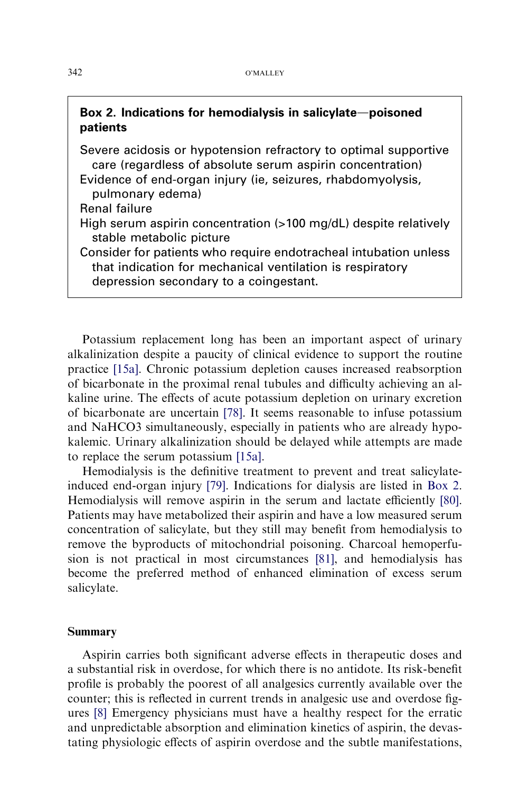# <span id="page-9-0"></span>Box 2. Indications for hemodialysis in salicylate—poisoned patients

Severe acidosis or hypotension refractory to optimal supportive care (regardless of absolute serum aspirin concentration) Evidence of end-organ injury (ie, seizures, rhabdomyolysis, pulmonary edema) Renal failure High serum aspirin concentration (>100 mg/dL) despite relatively stable metabolic picture Consider for patients who require endotracheal intubation unless that indication for mechanical ventilation is respiratory depression secondary to a coingestant.

Potassium replacement long has been an important aspect of urinary alkalinization despite a paucity of clinical evidence to support the routine practice [\[15a\]](#page-10-0). Chronic potassium depletion causes increased reabsorption of bicarbonate in the proximal renal tubules and difficulty achieving an alkaline urine. The effects of acute potassium depletion on urinary excretion of bicarbonate are uncertain [\[78\]](#page-13-0). It seems reasonable to infuse potassium and NaHCO3 simultaneously, especially in patients who are already hypokalemic. Urinary alkalinization should be delayed while attempts are made to replace the serum potassium [\[15a\].](#page-10-0)

Hemodialysis is the definitive treatment to prevent and treat salicylateinduced end-organ injury [\[79\].](#page-13-0) Indications for dialysis are listed in Box 2. Hemodialysis will remove aspirin in the serum and lactate efficiently [\[80\]](#page-13-0). Patients may have metabolized their aspirin and have a low measured serum concentration of salicylate, but they still may benefit from hemodialysis to remove the byproducts of mitochondrial poisoning. Charcoal hemoperfusion is not practical in most circumstances [\[81\]](#page-13-0), and hemodialysis has become the preferred method of enhanced elimination of excess serum salicylate.

# **Summary**

Aspirin carries both significant adverse effects in therapeutic doses and a substantial risk in overdose, for which there is no antidote. Its risk-benefit profile is probably the poorest of all analgesics currently available over the counter; this is reflected in current trends in analgesic use and overdose figures [\[8\]](#page-10-0) Emergency physicians must have a healthy respect for the erratic and unpredictable absorption and elimination kinetics of aspirin, the devastating physiologic effects of aspirin overdose and the subtle manifestations,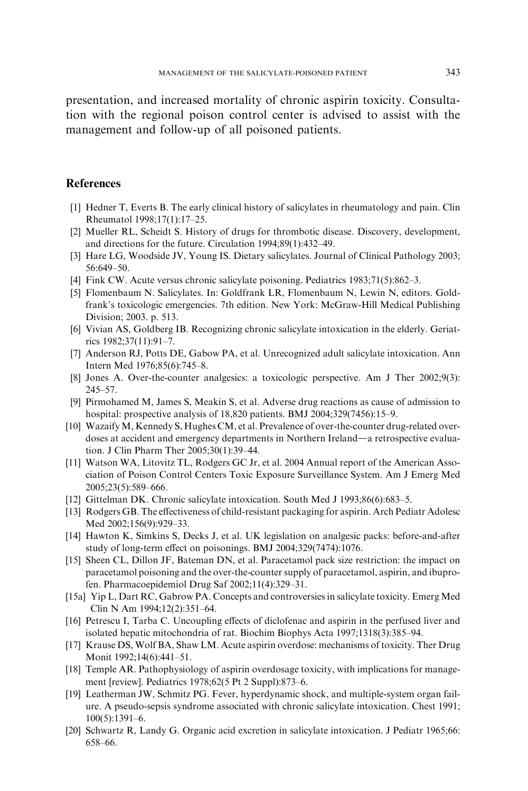<span id="page-10-0"></span>presentation, and increased mortality of chronic aspirin toxicity. Consultation with the regional poison control center is advised to assist with the management and follow-up of all poisoned patients.

# **References**

- [1] Hedner T, Everts B. The early clinical history of salicylates in rheumatology and pain. Clin Rheumatol 1998;17(1):17–25.
- [2] Mueller RL, Scheidt S. History of drugs for thrombotic disease. Discovery, development, and directions for the future. Circulation 1994;89(1):432–49.
- [3] Hare LG, Woodside JV, Young IS. Dietary salicylates. Journal of Clinical Pathology 2003; 56:649–50.
- [4] Fink CW. Acute versus chronic salicylate poisoning. Pediatrics 1983;71(5):862–3.
- [5] Flomenbaum N. Salicylates. In: Goldfrank LR, Flomenbaum N, Lewin N, editors. Goldfrank's toxicologic emergencies. 7th edition. New York: McGraw-Hill Medical Publishing Division; 2003. p. 513.
- [6] Vivian AS, Goldberg IB. Recognizing chronic salicylate intoxication in the elderly. Geriatrics 1982;37(11):91–7.
- [7] Anderson RJ, Potts DE, Gabow PA, et al. Unrecognized adult salicylate intoxication. Ann Intern Med 1976;85(6):745–8.
- [8] Jones A. Over-the-counter analgesics: a toxicologic perspective. Am J Ther 2002;9(3): 245–57.
- [9] Pirmohamed M, James S, Meakin S, et al. Adverse drug reactions as cause of admission to hospital: prospective analysis of 18,820 patients. BMJ 2004;329(7456):15–9.
- [10] WazaifyM, Kennedy S, Hughes CM, et al. Prevalence of over-the-counter drug-related overdoses at accident and emergency departments in Northern Ireland—a retrospective evaluation. J Clin Pharm Ther 2005;30(1):39–44.
- [11] Watson WA, Litovitz TL, Rodgers GC Jr, et al. 2004 Annual report of the American Association of Poison Control Centers Toxic Exposure Surveillance System. Am J Emerg Med 2005;23(5):589–666.
- [12] Gittelman DK. Chronic salicylate intoxication. South Med J 1993;86(6):683–5.
- [13] Rodgers GB. The effectiveness of child-resistant packaging for aspirin. Arch Pediatr Adolesc Med 2002;156(9):929–33.
- [14] Hawton K, Simkins S, Decks J, et al. UK legislation on analgesic packs: before-and-after study of long-term effect on poisonings. BMJ 2004;329(7474):1076.
- [15] Sheen CL, Dillon JF, Bateman DN, et al. Paracetamol pack size restriction: the impact on paracetamol poisoning and the over-the-counter supply of paracetamol, aspirin, and ibuprofen. Pharmacoepidemiol Drug Saf 2002;11(4):329–31.
- [15a] Yip L, Dart RC, Gabrow PA. Concepts and controversies in salicylate toxicity. Emerg Med Clin N Am 1994;12(2):351–64.
- [16] Petrescu I, Tarba C. Uncoupling effects of diclofenac and aspirin in the perfused liver and isolated hepatic mitochondria of rat. Biochim Biophys Acta 1997;1318(3):385–94.
- [17] Krause DS, Wolf BA, Shaw LM. Acute aspirin overdose: mechanisms of toxicity. Ther Drug Monit 1992;14(6):441–51.
- [18] Temple AR. Pathophysiology of aspirin overdosage toxicity, with implications for management [review]. Pediatrics 1978;62(5 Pt 2 Suppl):873–6.
- [19] Leatherman JW, Schmitz PG. Fever, hyperdynamic shock, and multiple-system organ failure. A pseudo-sepsis syndrome associated with chronic salicylate intoxication. Chest 1991; 100(5):1391–6.
- [20] Schwartz R, Landy G. Organic acid excretion in salicylate intoxication. J Pediatr 1965;66: 658–66.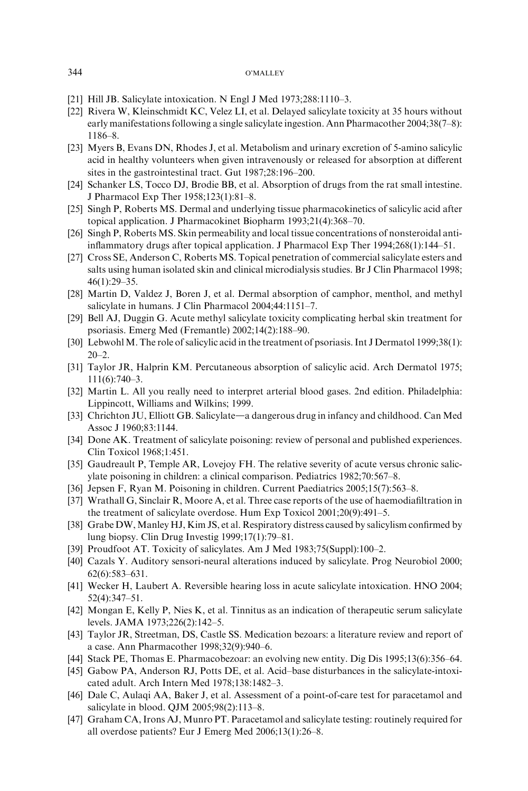#### <span id="page-11-0"></span>344 O'MALLEY

- [21] Hill JB. Salicylate intoxication. N Engl J Med 1973;288:1110–3.
- [22] Rivera W, Kleinschmidt KC, Velez LI, et al. Delayed salicylate toxicity at 35 hours without early manifestations following a single salicylate ingestion. Ann Pharmacother 2004;38(7–8): 1186–8.
- [23] Myers B, Evans DN, Rhodes J, et al. Metabolism and urinary excretion of 5-amino salicylic acid in healthy volunteers when given intravenously or released for absorption at different sites in the gastrointestinal tract. Gut 1987;28:196–200.
- [24] Schanker LS, Tocco DJ, Brodie BB, et al. Absorption of drugs from the rat small intestine. J Pharmacol Exp Ther 1958;123(1):81–8.
- [25] Singh P, Roberts MS. Dermal and underlying tissue pharmacokinetics of salicylic acid after topical application. J Pharmacokinet Biopharm 1993;21(4):368–70.
- [26] Singh P, Roberts MS. Skin permeability and local tissue concentrations of nonsteroidal antiinflammatory drugs after topical application. J Pharmacol Exp Ther 1994;268(1):144–51.
- [27] Cross SE, Anderson C, Roberts MS. Topical penetration of commercial salicylate esters and salts using human isolated skin and clinical microdialysis studies. Br J Clin Pharmacol 1998; 46(1):29–35.
- [28] Martin D, Valdez J, Boren J, et al. Dermal absorption of camphor, menthol, and methyl salicylate in humans. J Clin Pharmacol 2004;44:1151–7.
- [29] Bell AJ, Duggin G. Acute methyl salicylate toxicity complicating herbal skin treatment for psoriasis. Emerg Med (Fremantle) 2002;14(2):188–90.
- [30] Lebwohl M. The role of salicylic acid in the treatment of psoriasis. Int J Dermatol 1999;38(1): 20–2.
- [31] Taylor JR, Halprin KM. Percutaneous absorption of salicylic acid. Arch Dermatol 1975; 111(6):740–3.
- [32] Martin L. All you really need to interpret arterial blood gases. 2nd edition. Philadelphia: Lippincott, Williams and Wilkins; 1999.
- [33] Chrichton JU, Elliott GB. Salicylate—a dangerous drug in infancy and childhood. Can Med Assoc J 1960;83:1144.
- [34] Done AK. Treatment of salicylate poisoning: review of personal and published experiences. Clin Toxicol 1968;1:451.
- [35] Gaudreault P, Temple AR, Lovejoy FH. The relative severity of acute versus chronic salicylate poisoning in children: a clinical comparison. Pediatrics 1982;70:567–8.
- [36] Jepsen F, Ryan M. Poisoning in children. Current Paediatrics 2005;15(7):563–8.
- [37] Wrathall G, Sinclair R, Moore A, et al. Three case reports of the use of haemodiafiltration in the treatment of salicylate overdose. Hum Exp Toxicol 2001;20(9):491–5.
- [38] Grabe DW, Manley HJ, Kim JS, et al. Respiratory distress caused by salicylism confirmed by lung biopsy. Clin Drug Investig 1999;17(1):79–81.
- [39] Proudfoot AT. Toxicity of salicylates. Am J Med 1983;75(Suppl):100–2.
- [40] Cazals Y. Auditory sensori-neural alterations induced by salicylate. Prog Neurobiol 2000; 62(6):583–631.
- [41] Wecker H, Laubert A. Reversible hearing loss in acute salicylate intoxication. HNO 2004; 52(4):347–51.
- [42] Mongan E, Kelly P, Nies K, et al. Tinnitus as an indication of therapeutic serum salicylate levels. JAMA 1973;226(2):142–5.
- [43] Taylor JR, Streetman, DS, Castle SS. Medication bezoars: a literature review and report of a case. Ann Pharmacother 1998;32(9):940–6.
- [44] Stack PE, Thomas E. Pharmacobezoar: an evolving new entity. Dig Dis 1995;13(6):356–64.
- [45] Gabow PA, Anderson RJ, Potts DE, et al. Acid–base disturbances in the salicylate-intoxicated adult. Arch Intern Med 1978;138:1482–3.
- [46] Dale C, Aulaqi AA, Baker J, et al. Assessment of a point-of-care test for paracetamol and salicylate in blood. QJM 2005;98(2):113–8.
- [47] Graham CA, Irons AJ, Munro PT. Paracetamol and salicylate testing: routinely required for all overdose patients? Eur J Emerg Med 2006;13(1):26–8.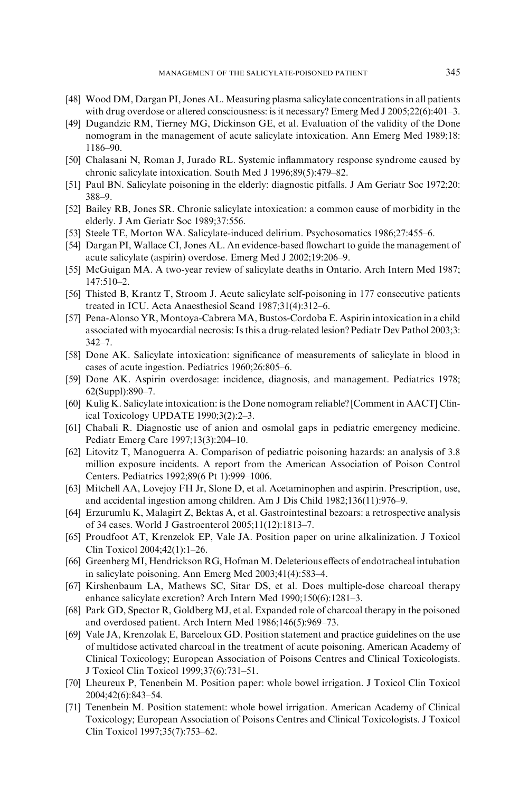- <span id="page-12-0"></span>[48] Wood DM, Dargan PI, Jones AL. Measuring plasma salicylate concentrations in all patients with drug overdose or altered consciousness: is it necessary? Emerg Med J 2005;22(6):401–3.
- [49] Dugandzic RM, Tierney MG, Dickinson GE, et al. Evaluation of the validity of the Done nomogram in the management of acute salicylate intoxication. Ann Emerg Med 1989;18: 1186–90.
- [50] Chalasani N, Roman J, Jurado RL. Systemic inflammatory response syndrome caused by chronic salicylate intoxication. South Med J 1996;89(5):479–82.
- [51] Paul BN. Salicylate poisoning in the elderly: diagnostic pitfalls. J Am Geriatr Soc 1972;20: 388–9.
- [52] Bailey RB, Jones SR. Chronic salicylate intoxication: a common cause of morbidity in the elderly. J Am Geriatr Soc 1989;37:556.
- [53] Steele TE, Morton WA. Salicylate-induced delirium. Psychosomatics 1986;27:455–6.
- [54] Dargan PI, Wallace CI, Jones AL. An evidence-based flowchart to guide the management of acute salicylate (aspirin) overdose. Emerg Med J 2002;19:206–9.
- [55] McGuigan MA. A two-year review of salicylate deaths in Ontario. Arch Intern Med 1987; 147:510–2.
- [56] Thisted B, Krantz T, Stroom J. Acute salicylate self-poisoning in 177 consecutive patients treated in ICU. Acta Anaesthesiol Scand 1987;31(4):312–6.
- [57] Pena-Alonso YR, Montoya-Cabrera MA, Bustos-Cordoba E. Aspirin intoxication in a child associated with myocardial necrosis: Is this a drug-related lesion? Pediatr Dev Pathol 2003;3: 342–7.
- [58] Done AK. Salicylate intoxication: significance of measurements of salicylate in blood in cases of acute ingestion. Pediatrics 1960;26:805–6.
- [59] Done AK. Aspirin overdosage: incidence, diagnosis, and management. Pediatrics 1978; 62(Suppl):890–7.
- [60] Kulig K. Salicylate intoxication: is the Done nomogram reliable? [Comment in AACT] Clinical Toxicology UPDATE 1990;3(2):2–3.
- [61] Chabali R. Diagnostic use of anion and osmolal gaps in pediatric emergency medicine. Pediatr Emerg Care 1997;13(3):204–10.
- [62] Litovitz T, Manoguerra A. Comparison of pediatric poisoning hazards: an analysis of 3.8 million exposure incidents. A report from the American Association of Poison Control Centers. Pediatrics 1992;89(6 Pt 1):999–1006.
- [63] Mitchell AA, Lovejoy FH Jr, Slone D, et al. Acetaminophen and aspirin. Prescription, use, and accidental ingestion among children. Am J Dis Child 1982;136(11):976–9.
- [64] Erzurumlu K, Malagirt Z, Bektas A, et al. Gastrointestinal bezoars: a retrospective analysis of 34 cases. World J Gastroenterol 2005;11(12):1813–7.
- [65] Proudfoot AT, Krenzelok EP, Vale JA. Position paper on urine alkalinization. J Toxicol Clin Toxicol 2004;42(1):1–26.
- [66] Greenberg MI, Hendrickson RG, Hofman M. Deleterious effects of endotracheal intubation in salicylate poisoning. Ann Emerg Med 2003;41(4):583–4.
- [67] Kirshenbaum LA, Mathews SC, Sitar DS, et al. Does multiple-dose charcoal therapy enhance salicylate excretion? Arch Intern Med 1990;150(6):1281–3.
- [68] Park GD, Spector R, Goldberg MJ, et al. Expanded role of charcoal therapy in the poisoned and overdosed patient. Arch Intern Med 1986;146(5):969–73.
- [69] Vale JA, Krenzolak E, Barceloux GD. Position statement and practice guidelines on the use of multidose activated charcoal in the treatment of acute poisoning. American Academy of Clinical Toxicology; European Association of Poisons Centres and Clinical Toxicologists. J Toxicol Clin Toxicol 1999;37(6):731–51.
- [70] Lheureux P, Tenenbein M. Position paper: whole bowel irrigation. J Toxicol Clin Toxicol 2004;42(6):843–54.
- [71] Tenenbein M. Position statement: whole bowel irrigation. American Academy of Clinical Toxicology; European Association of Poisons Centres and Clinical Toxicologists. J Toxicol Clin Toxicol 1997;35(7):753–62.